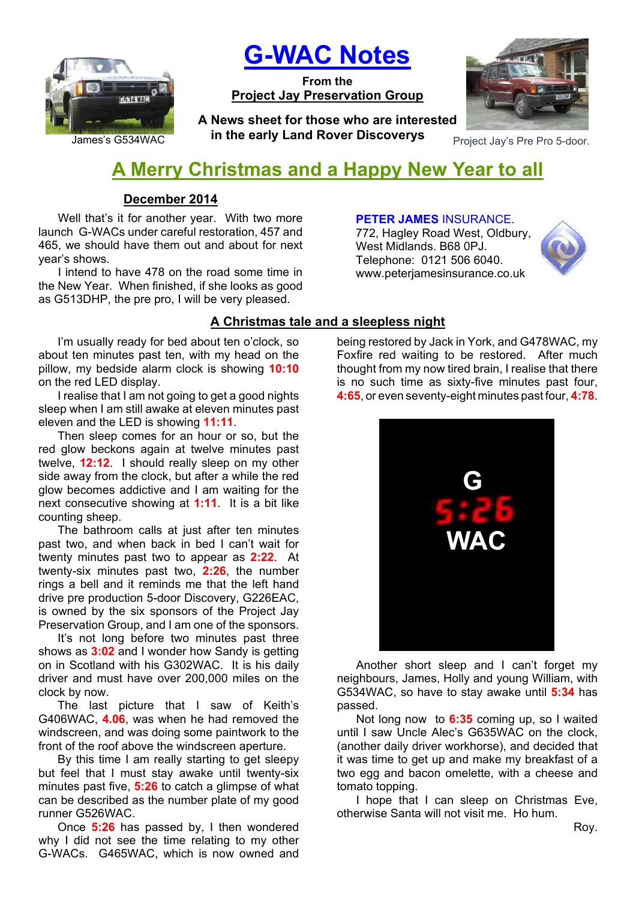

**G-WAC Notes**

**From the Project Jay Preservation Group**

James's G534WAC **Protocommunity Latter Protocommunity** Project Jay's Pre Pro 5-door. **A News sheet for those who are interested in the early Land Rover Discoverys**



# **A Merry Christmas and a Happy New Year to all**

# **December 2014**

Well that's it for another year. With two more launch G-WACs under careful restoration, 457 and 465, we should have them out and about for next year's shows.

I intend to have 478 on the road some time in the New Year. When finished, if she looks as good as G513DHP, the pre pro, I will be very pleased.

I'm usually ready for bed about ten o'clock, so about ten minutes past ten, with my head on the pillow, my bedside alarm clock is showing **10:10** on the red LED display.

I realise that I am not going to get a good nights sleep when I am still awake at eleven minutes past eleven and the LED is showing **11:11**.

Then sleep comes for an hour or so, but the red glow beckons again at twelve minutes past twelve, **12:12**. I should really sleep on my other side away from the clock, but after a while the red glow becomes addictive and I am waiting for the next consecutive showing at **1:11**. It is a bit like counting sheep.

The bathroom calls at just after ten minutes past two, and when back in bed I can't wait for twenty minutes past two to appear as **2:22**. At twenty-six minutes past two, **2:26**, the number rings a bell and it reminds me that the left hand drive pre production 5-door Discovery, G226EAC, is owned by the six sponsors of the Project Jay Preservation Group, and I am one of the sponsors.

It's not long before two minutes past three shows as **3:02** and I wonder how Sandy is getting on in Scotland with his G302WAC. It is his daily driver and must have over 200,000 miles on the clock by now.

The last picture that I saw of Keith's G406WAC, **4.06**, was when he had removed the windscreen, and was doing some paintwork to the front of the roof above the windscreen aperture.

By this time I am really starting to get sleepy but feel that I must stay awake until twenty-six minutes past five, **5:26** to catch a glimpse of what can be described as the number plate of my good runner G526WAC.

Once **5:26** has passed by, I then wondered why I did not see the time relating to my other G-WACs. G465WAC, which is now owned and

# **PETER JAMES** INSURANCE.

772, Hagley Road West, Oldbury, West Midlands. B68 0PJ. Telephone: 0121 506 6040. www.peterjamesinsurance.co.uk



# **A Christmas tale and a sleepless night**

being restored by Jack in York, and G478WAC, my Foxfire red waiting to be restored. After much thought from my now tired brain, I realise that there is no such time as sixty-five minutes past four, **4:65**, or even seventy-eight minutes past four, **4:78**.



Another short sleep and I can't forget my neighbours, James, Holly and young William, with G534WAC, so have to stay awake until **5:34** has passed.

Not long now to **6:35** coming up, so I waited until I saw Uncle Alec's G635WAC on the clock, (another daily driver workhorse), and decided that it was time to get up and make my breakfast of a two egg and bacon omelette, with a cheese and tomato topping.

I hope that I can sleep on Christmas Eve. otherwise Santa will not visit me. Ho hum.